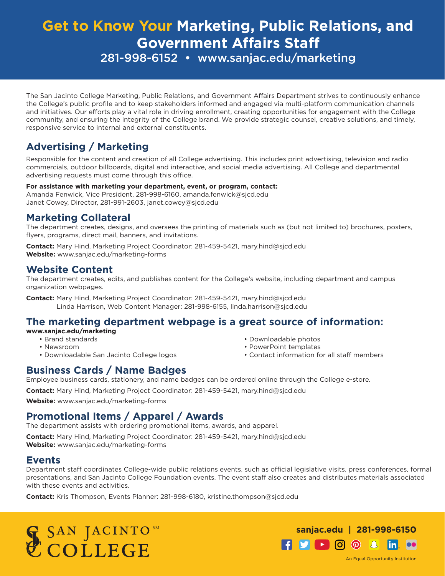# **Get to Know Your Marketing, Public Relations, and Government Affairs Staff** 281-998-6152 • www.sanjac.edu/marketing

The San Jacinto College Marketing, Public Relations, and Government Affairs Department strives to continuously enhance the College's public profile and to keep stakeholders informed and engaged via multi-platform communication channels and initiatives. Our efforts play a vital role in driving enrollment, creating opportunities for engagement with the College community, and ensuring the integrity of the College brand. We provide strategic counsel, creative solutions, and timely, responsive service to internal and external constituents.

## **Advertising / Marketing**

Responsible for the content and creation of all College advertising. This includes print advertising, television and radio commercials, outdoor billboards, digital and interactive, and social media advertising. All College and departmental advertising requests must come through this office.

#### **For assistance with marketing your department, event, or program, contact:**

Amanda Fenwick, Vice President, 281-998-6160, amanda.fenwick@sjcd.edu Janet Cowey, Director, 281-991-2603, janet.cowey@sjcd.edu

### **Marketing Collateral**

The department creates, designs, and oversees the printing of materials such as (but not limited to) brochures, posters, flyers, programs, direct mail, banners, and invitations.

**Contact:** Mary Hind, Marketing Project Coordinator: 281-459-5421, mary.hind@sjcd.edu **Website:** www.sanjac.edu/marketing-forms

### **Website Content**

The department creates, edits, and publishes content for the College's website, including department and campus organization webpages.

**Contact:** Mary Hind, Marketing Project Coordinator: 281-459-5421, mary.hind@sjcd.edu Linda Harrison, Web Content Manager: 281-998-6155, linda.harrison@sjcd.edu

### **The marketing department webpage is a great source of information:**

#### **www.sanjac.edu/marketing**

- Brand standards
- Newsroom
- Downloadable San Jacinto College logos
- Downloadable photos
	- PowerPoint templates • Contact information for all staff members

### **Business Cards / Name Badges**

Employee business cards, stationery, and name badges can be ordered online through the College e-store.

**Contact:** Mary Hind, Marketing Project Coordinator: 281-459-5421, mary.hind@sjcd.edu

**Website:** www.sanjac.edu/marketing-forms

## **Promotional Items / Apparel / Awards**

The department assists with ordering promotional items, awards, and apparel.

**Contact:** Mary Hind, Marketing Project Coordinator: 281-459-5421, mary.hind@sjcd.edu **Website:** www.sanjac.edu/marketing-forms

#### **Events**

Department staff coordinates College-wide public relations events, such as official legislative visits, press conferences, formal presentations, and San Jacinto College Foundation events. The event staff also creates and distributes materials associated with these events and activities.

**Contact:** Kris Thompson, Events Planner: 281-998-6180, kristine.thompson@sjcd.edu